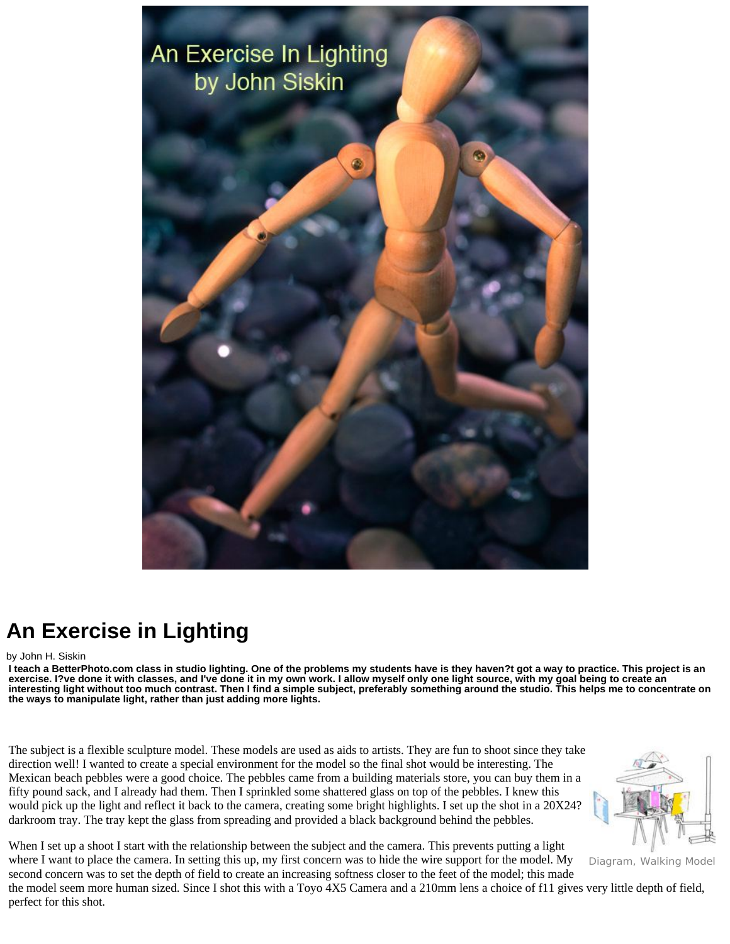

## **An Exercise in Lighting**

## by John H. Siskin

**I teach a BetterPhoto.com class in studio lighting. One of the problems my students have is they haven?t got a way to practice. This project is an exercise. I?ve done it with classes, and I've done it in my own work. I allow myself only one light source, with my goal being to create an interesting light without too much contrast. Then I find a simple subject, preferably something around the studio. This helps me to concentrate on the ways to manipulate light, rather than just adding more lights.** 

The subject is a flexible sculpture model. These models are used as aids to artists. They are fun to shoot since they take direction well! I wanted to create a special environment for the model so the final shot would be interesting. The Mexican beach pebbles were a good choice. The pebbles came from a building materials store, you can buy them in a fifty pound sack, and I already had them. Then I sprinkled some shattered glass on top of the pebbles. I knew this would pick up the light and reflect it back to the camera, creating some bright highlights. I set up the shot in a  $20X24$ <sup>\*</sup> darkroom tray. The tray kept the glass from spreading and provided a black background behind the pebbles.



Diagram, Walking Model

When I set up a shoot I start with the relationship between the subject and the camera. This prevents putting a light where I want to place the camera. In setting this up, my first concern was to hide the wire support for the model. My second concern was to set the depth of field to create an increasing softness closer to the feet of the model; this made the model seem more human sized. Since I shot this with a Toyo 4X5 Camera and a 210mm lens a choice of f11 gives very little depth of field, perfect for this shot.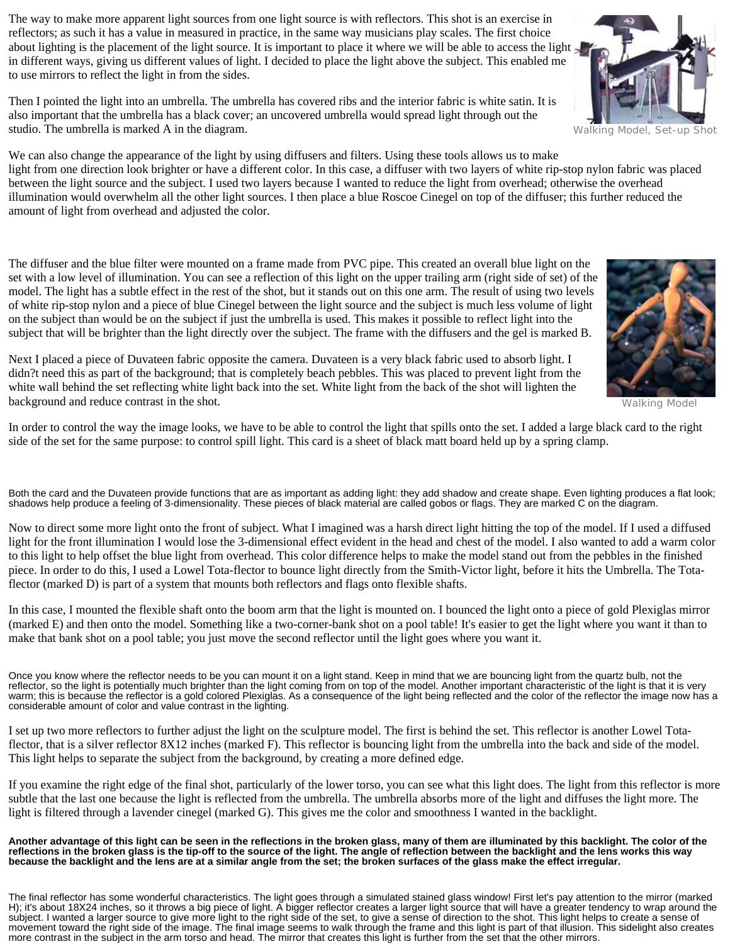The way to make more apparent light sources from one light source is with reflectors. This shot is an exercise in reflectors; as such it has a value in measured in practice, in the same way musicians play scales. The first choice about lighting is the placement of the light source. It is important to place it where we will be able to access the light in different ways, giving us different values of light. I decided to place the light above the subject. This enabled me to use mirrors to reflect the light in from the sides.

Then I pointed the light into an umbrella. The umbrella has covered ribs and the interior fabric is white satin. It is also important that the umbrella has a black cover; an uncovered umbrella would spread light through out the studio. The umbrella is marked A in the diagram.

We can also change the appearance of the light by using diffusers and filters. Using these tools allows us to make light from one direction look brighter or have a different color. In this case, a diffuser with two layers of white rip-stop nylon fabric was placed between the light source and the subject. I used two layers because I wanted to reduce the light from overhead; otherwise the overhead illumination would overwhelm all the other light sources. I then place a blue Roscoe Cinegel on top of the diffuser; this further reduced the amount of light from overhead and adjusted the color.

The diffuser and the blue filter were mounted on a frame made from PVC pipe. This created an overall blue light on the set with a low level of illumination. You can see a reflection of this light on the upper trailing arm (right side of set) of the model. The light has a subtle effect in the rest of the shot, but it stands out on this one arm. The result of using two levels of white rip-stop nylon and a piece of blue Cinegel between the light source and the subject is much less volume of light on the subject than would be on the subject if just the umbrella is used. This makes it possible to reflect light into the subject that will be brighter than the light directly over the subject. The frame with the diffusers and the gel is marked B.

Next I placed a piece of Duvateen fabric opposite the camera. Duvateen is a very black fabric used to absorb light. I didn?t need this as part of the background; that is completely beach pebbles. This was placed to prevent light from the white wall behind the set reflecting white light back into the set. White light from the back of the shot will lighten the background and reduce contrast in the shot.

In order to control the way the image looks, we have to be able to control the light that spills onto the set. I added a large black card to the right side of the set for the same purpose: to control spill light. This card is a sheet of black matt board held up by a spring clamp.

Both the card and the Duvateen provide functions that are as important as adding light: they add shadow and create shape. Even lighting produces a flat look; shadows help produce a feeling of 3-dimensionality. These pieces of black material are called gobos or flags. They are marked C on the diagram.

Now to direct some more light onto the front of subject. What I imagined was a harsh direct light hitting the top of the model. If I used a diffused light for the front illumination I would lose the 3-dimensional effect evident in the head and chest of the model. I also wanted to add a warm color to this light to help offset the blue light from overhead. This color difference helps to make the model stand out from the pebbles in the finished piece. In order to do this, I used a Lowel Tota-flector to bounce light directly from the Smith-Victor light, before it hits the Umbrella. The Totaflector (marked D) is part of a system that mounts both reflectors and flags onto flexible shafts.

In this case, I mounted the flexible shaft onto the boom arm that the light is mounted on. I bounced the light onto a piece of gold Plexiglas mirror (marked E) and then onto the model. Something like a two-corner-bank shot on a pool table! It's easier to get the light where you want it than to make that bank shot on a pool table; you just move the second reflector until the light goes where you want it.

Once you know where the reflector needs to be you can mount it on a light stand. Keep in mind that we are bouncing light from the quartz bulb, not the reflector, so the light is potentially much brighter than the light coming from on top of the model. Another important characteristic of the light is that it is very warm; this is because the reflector is a gold colored Plexiglas. As a consequence of the light being reflected and the color of the reflector the image now has a considerable amount of color and value contrast in the lighting.

I set up two more reflectors to further adjust the light on the sculpture model. The first is behind the set. This reflector is another Lowel Totaflector, that is a silver reflector 8X12 inches (marked F). This reflector is bouncing light from the umbrella into the back and side of the model. This light helps to separate the subject from the background, by creating a more defined edge.

If you examine the right edge of the final shot, particularly of the lower torso, you can see what this light does. The light from this reflector is more subtle that the last one because the light is reflected from the umbrella. The umbrella absorbs more of the light and diffuses the light more. The light is filtered through a lavender cinegel (marked G). This gives me the color and smoothness I wanted in the backlight.

**Another advantage of this light can be seen in the reflections in the broken glass, many of them are illuminated by this backlight. The color of the reflections in the broken glass is the tip-off to the source of the light. The angle of reflection between the backlight and the lens works this way because the backlight and the lens are at a similar angle from the set; the broken surfaces of the glass make the effect irregular.** 

The final reflector has some wonderful characteristics. The light goes through a simulated stained glass window! First let's pay attention to the mirror (marked H); it's about 18X24 inches, so it throws a big piece of light. A bigger reflector creates a larger light source that will have a greater tendency to wrap around the subject. I wanted a larger source to give more light to the right side of the set, to give a sense of direction to the shot. This light helps to create a sense of movement toward the right side of the image. The final image seems to walk through the frame and this light is part of that illusion. This sidelight also creates more contrast in the subject in the arm torso and head. The mirror that creates this light is further from the set that the other mirrors.





Walking Model